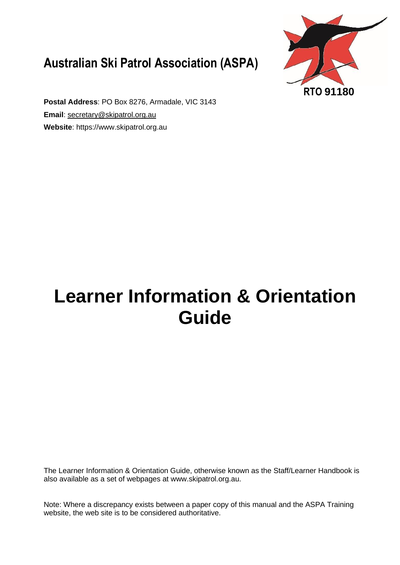# **Australian Ski Patrol Association (ASPA)**



**Postal Address**: PO Box 8276, Armadale, VIC 3143 **Email**: [secretary@skipatrol.org.au](mailto:secretary@skipatrol.org.au) **Website**: https://www.skipatrol.org.au

# **Learner Information & Orientation Guide**

The Learner Information & Orientation Guide, otherwise known as the Staff/Learner Handbook is also available as a set of webpages at www.skipatrol.org.au.

Note: Where a discrepancy exists between a paper copy of this manual and the ASPA Training website, the web site is to be considered authoritative.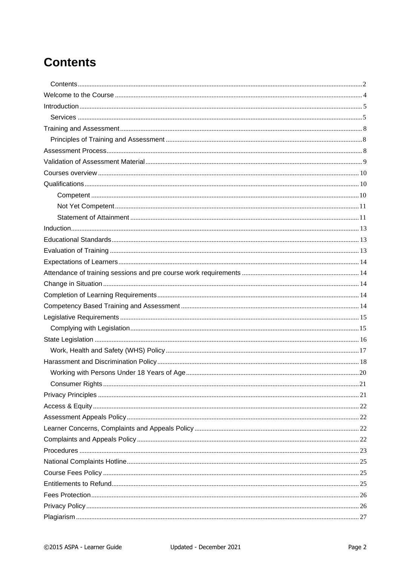# <span id="page-1-0"></span>**Contents**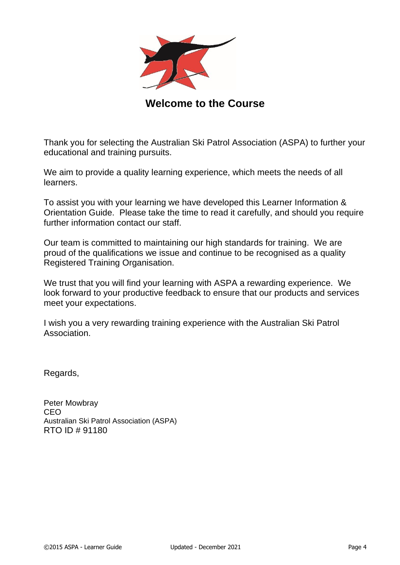

### **Welcome to the Course**

<span id="page-3-0"></span>Thank you for selecting the Australian Ski Patrol Association (ASPA) to further your educational and training pursuits.

We aim to provide a quality learning experience, which meets the needs of all learners.

To assist you with your learning we have developed this Learner Information & Orientation Guide. Please take the time to read it carefully, and should you require further information contact our staff.

Our team is committed to maintaining our high standards for training. We are proud of the qualifications we issue and continue to be recognised as a quality Registered Training Organisation.

We trust that you will find your learning with ASPA a rewarding experience. We look forward to your productive feedback to ensure that our products and services meet your expectations.

I wish you a very rewarding training experience with the Australian Ski Patrol Association.

Regards,

Peter Mowbray CEO Australian Ski Patrol Association (ASPA) RTO ID # 91180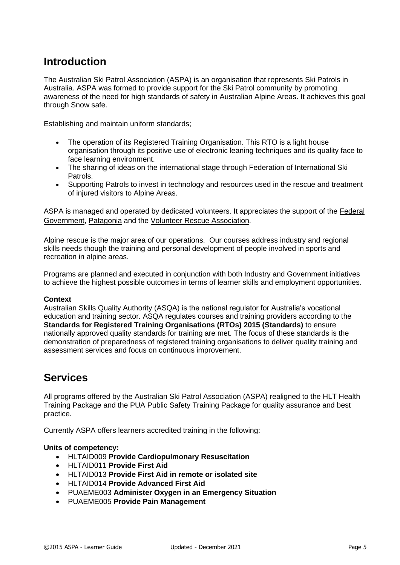### <span id="page-4-0"></span>**Introduction**

The Australian Ski Patrol Association (ASPA) is an organisation that represents Ski Patrols in Australia. ASPA was formed to provide support for the Ski Patrol community by promoting awareness of the need for high standards of safety in Australian Alpine Areas. It achieves this goal through Snow safe.

Establishing and maintain uniform standards;

- The operation of its Registered Training Organisation. This RTO is a light house organisation through its positive use of electronic leaning techniques and its quality face to face learning environment.
- The sharing of ideas on the international stage through Federation of International Ski Patrols.
- Supporting Patrols to invest in technology and resources used in the rescue and treatment of injured visitors to Alpine Areas.

ASPA is managed and operated by dedicated volunteers. It appreciates the support of the [Federal](http://www.australia.gov.au/)  [Government,](http://www.australia.gov.au/) [Patagonia](http://www.patagonia.com.au/) and the [Volunteer Rescue Association](http://www.rescue.org.au/).

Alpine rescue is the major area of our operations. Our courses address industry and regional skills needs though the training and personal development of people involved in sports and recreation in alpine areas.

Programs are planned and executed in conjunction with both Industry and Government initiatives to achieve the highest possible outcomes in terms of learner skills and employment opportunities.

#### **Context**

Australian Skills Quality Authority (ASQA) is the national regulator for Australia's vocational education and training sector. ASQA regulates courses and training providers according to the **Standards for Registered Training Organisations (RTOs) 2015 (Standards)** to ensure nationally approved quality standards for training are met. The focus of these standards is the demonstration of preparedness of registered training organisations to deliver quality training and assessment services and focus on continuous improvement.

### <span id="page-4-1"></span>**Services**

All programs offered by the Australian Ski Patrol Association (ASPA) realigned to the HLT Health Training Package and the PUA Public Safety Training Package for quality assurance and best practice.

Currently ASPA offers learners accredited training in the following:

#### **Units of competency:**

- HLTAID009 **Provide Cardiopulmonary Resuscitation**
- HLTAID011 **Provide First Aid**
- HLTAID013 **Provide First Aid in remote or isolated site**
- HLTAID014 **Provide Advanced First Aid**
- PUAEME003 **Administer Oxygen in an Emergency Situation**
- PUAEME005 **Provide Pain Management**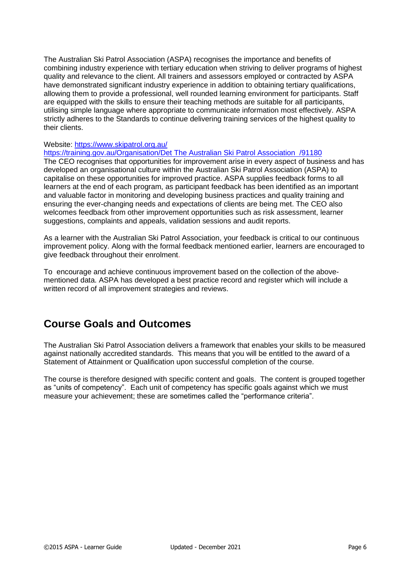The Australian Ski Patrol Association (ASPA) recognises the importance and benefits of combining industry experience with tertiary education when striving to deliver programs of highest quality and relevance to the client. All trainers and assessors employed or contracted by ASPA have demonstrated significant industry experience in addition to obtaining tertiary qualifications, allowing them to provide a professional, well rounded learning environment for participants. Staff are equipped with the skills to ensure their teaching methods are suitable for all participants, utilising simple language where appropriate to communicate information most effectively. ASPA strictly adheres to the Standards to continue delivering training services of the highest quality to their clients.

#### Website:<https://www.skipatrol.org.au/>

[https://training.gov.au/Organisation/Det The Australian Ski Patrol Association /91180](https://training.gov.au/Organisation/Det%20the%20Australian%20Alpine%20Training%20Institute/Australian%20Ski%20Patrol%20Training%20College%20/91180)

The CEO recognises that opportunities for improvement arise in every aspect of business and has developed an organisational culture within the Australian Ski Patrol Association (ASPA) to capitalise on these opportunities for improved practice. ASPA supplies feedback forms to all learners at the end of each program, as participant feedback has been identified as an important and valuable factor in monitoring and developing business practices and quality training and ensuring the ever-changing needs and expectations of clients are being met. The CEO also welcomes feedback from other improvement opportunities such as risk assessment, learner suggestions, complaints and appeals, validation sessions and audit reports.

As a learner with the Australian Ski Patrol Association, your feedback is critical to our continuous improvement policy. Along with the formal feedback mentioned earlier, learners are encouraged to give feedback throughout their enrolment.

To encourage and achieve continuous improvement based on the collection of the abovementioned data. ASPA has developed a best practice record and register which will include a written record of all improvement strategies and reviews.

### **Course Goals and Outcomes**

The Australian Ski Patrol Association delivers a framework that enables your skills to be measured against nationally accredited standards. This means that you will be entitled to the award of a Statement of Attainment or Qualification upon successful completion of the course.

The course is therefore designed with specific content and goals. The content is grouped together as "units of competency". Each unit of competency has specific goals against which we must measure your achievement; these are sometimes called the "performance criteria".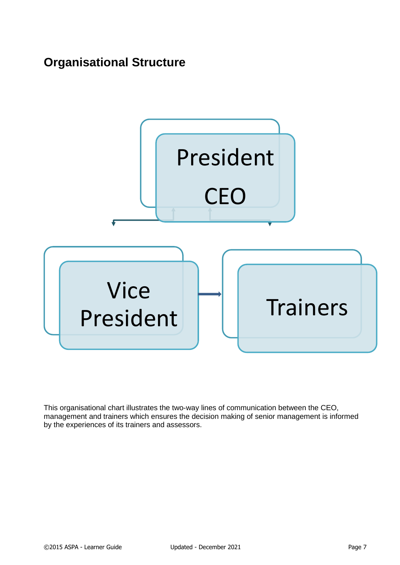## **Organisational Structure**



This organisational chart illustrates the two-way lines of communication between the CEO, management and trainers which ensures the decision making of senior management is informed by the experiences of its trainers and assessors.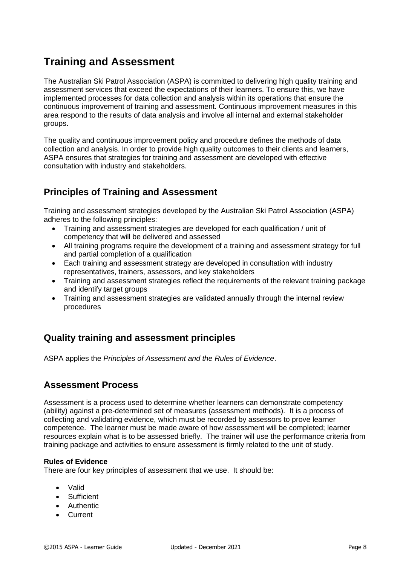### <span id="page-7-0"></span>**Training and Assessment**

The Australian Ski Patrol Association (ASPA) is committed to delivering high quality training and assessment services that exceed the expectations of their learners. To ensure this, we have implemented processes for data collection and analysis within its operations that ensure the continuous improvement of training and assessment. Continuous improvement measures in this area respond to the results of data analysis and involve all internal and external stakeholder groups.

The quality and continuous improvement policy and procedure defines the methods of data collection and analysis. In order to provide high quality outcomes to their clients and learners, ASPA ensures that strategies for training and assessment are developed with effective consultation with industry and stakeholders.

### <span id="page-7-1"></span>**Principles of Training and Assessment**

[Training and assessment strategies](file:///C:/Users/Helen/AppData/Local/Microsoft/Windows/Temporary%20Internet%20Files/Content.IE5/1VPGBX2T/Continuous%20Improvement/Training%20&%20Assessment%20Strategy) developed by the Australian Ski Patrol Association (ASPA) adheres to the following principles:

- Training and assessment strategies are developed for each qualification / unit of competency that will be delivered and assessed
- All training programs require the development of a training and assessment strategy for full and partial completion of a qualification
- Each training and assessment strategy are developed in consultation with industry representatives, trainers, assessors, and key stakeholders
- Training and assessment strategies reflect the requirements of the relevant training package and identify target groups
- Training and assessment strategies are validated annually through the internal review procedures

### **Quality training and assessment principles**

ASPA applies the *Principles of Assessment and the Rules of Evidence*.

#### <span id="page-7-2"></span>**Assessment Process**

Assessment is a process used to determine whether learners can demonstrate competency (ability) against a pre-determined set of measures (assessment methods). It is a process of collecting and validating evidence, which must be recorded by assessors to prove learner competence. The learner must be made aware of how assessment will be completed; learner resources explain what is to be assessed briefly. The trainer will use the performance criteria from training package and activities to ensure assessment is firmly related to the unit of study.

#### **Rules of Evidence**

There are four key principles of assessment that we use. It should be:

- Valid
- Sufficient
- Authentic
- Current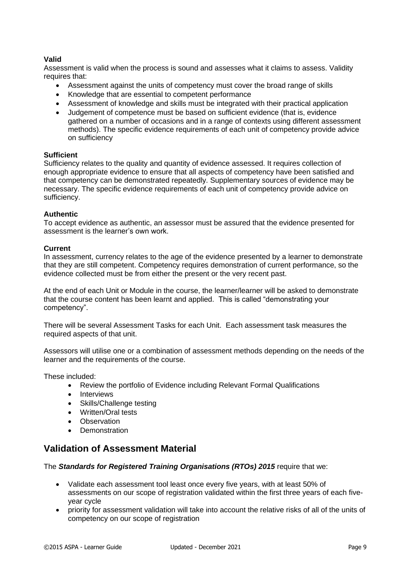#### **Valid**

Assessment is valid when the process is sound and assesses what it claims to assess. Validity requires that:

- Assessment against the units of competency must cover the broad range of skills
- Knowledge that are essential to competent performance
- Assessment of knowledge and skills must be integrated with their practical application
- Judgement of competence must be based on sufficient evidence (that is, evidence gathered on a number of occasions and in a range of contexts using different assessment methods). The specific evidence requirements of each unit of competency provide advice on sufficiency

#### **Sufficient**

Sufficiency relates to the quality and quantity of evidence assessed. It requires collection of enough appropriate evidence to ensure that all aspects of competency have been satisfied and that competency can be demonstrated repeatedly. Supplementary sources of evidence may be necessary. The specific evidence requirements of each unit of competency provide advice on sufficiency.

#### **Authentic**

To accept evidence as authentic, an assessor must be assured that the evidence presented for assessment is the learner's own work.

#### **Current**

In assessment, currency relates to the age of the evidence presented by a learner to demonstrate that they are still competent. Competency requires demonstration of current performance, so the evidence collected must be from either the present or the very recent past.

At the end of each Unit or Module in the course, the learner/learner will be asked to demonstrate that the course content has been learnt and applied. This is called "demonstrating your competency".

There will be several Assessment Tasks for each Unit. Each assessment task measures the required aspects of that unit.

Assessors will utilise one or a combination of assessment methods depending on the needs of the learner and the requirements of the course.

These included:

- Review the portfolio of Evidence including Relevant Formal Qualifications
- Interviews
- Skills/Challenge testing
- Written/Oral tests
- **Observation**
- Demonstration

#### <span id="page-8-0"></span>**Validation of Assessment Material**

The *Standards for Registered Training Organisations (RTOs) 2015* require that we:

- Validate each assessment tool least once every five years, with at least 50% of assessments on our scope of registration validated within the first three years of each fiveyear cycle
- priority for assessment validation will take into account the relative risks of all of the units of competency on our scope of registration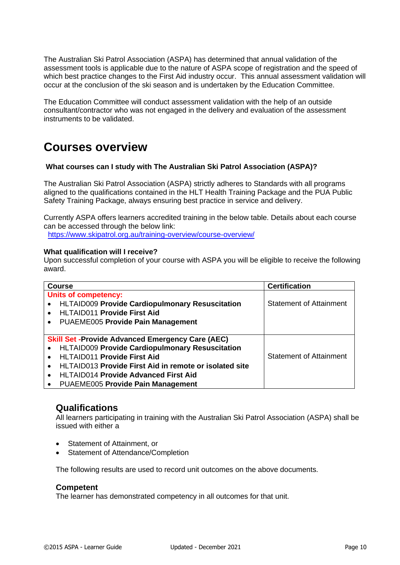The Australian Ski Patrol Association (ASPA) has determined that annual validation of the assessment tools is applicable due to the nature of ASPA scope of registration and the speed of which best practice changes to the First Aid industry occur. This annual assessment validation will occur at the conclusion of the ski season and is undertaken by the Education Committee.

The Education Committee will conduct assessment validation with the help of an outside consultant/contractor who was not engaged in the delivery and evaluation of the assessment instruments to be validated.

### <span id="page-9-0"></span>**Courses overview**

#### **What courses can I study with The Australian Ski Patrol Association (ASPA)?**

The Australian Ski Patrol Association (ASPA) strictly adheres to Standards with all programs aligned to the qualifications contained in the HLT Health Training Package and the PUA Public Safety Training Package, always ensuring best practice in service and delivery.

Currently ASPA offers learners accredited training in the below table. Details about each course can be accessed through the below link: <https://www.skipatrol.org.au/training-overview/course-overview/>

#### **What qualification will I receive?**

Upon successful completion of your course with ASPA you will be eligible to receive the following award.

|           | <b>Course</b>                                           | <b>Certification</b>           |
|-----------|---------------------------------------------------------|--------------------------------|
|           | <b>Units of competency:</b>                             |                                |
|           | <b>HLTAID009 Provide Cardiopulmonary Resuscitation</b>  | <b>Statement of Attainment</b> |
|           | <b>HLTAID011 Provide First Aid</b>                      |                                |
| $\bullet$ | PUAEME005 Provide Pain Management                       |                                |
|           |                                                         |                                |
|           | <b>Skill Set -Provide Advanced Emergency Care (AEC)</b> |                                |
|           | HLTAID009 Provide Cardiopulmonary Resuscitation         |                                |
|           | <b>HLTAID011 Provide First Aid</b>                      | <b>Statement of Attainment</b> |
| $\bullet$ | HLTAID013 Provide First Aid in remote or isolated site  |                                |
| $\bullet$ | <b>HLTAID014 Provide Advanced First Aid</b>             |                                |
| $\bullet$ | PUAEME005 Provide Pain Management                       |                                |

#### <span id="page-9-1"></span>**Qualifications**

All learners participating in training with the Australian Ski Patrol Association (ASPA) shall be issued with either a

- Statement of Attainment, or
- Statement of Attendance/Completion

The following results are used to record unit outcomes on the above documents.

#### <span id="page-9-2"></span>**Competent**

The learner has demonstrated competency in all outcomes for that unit.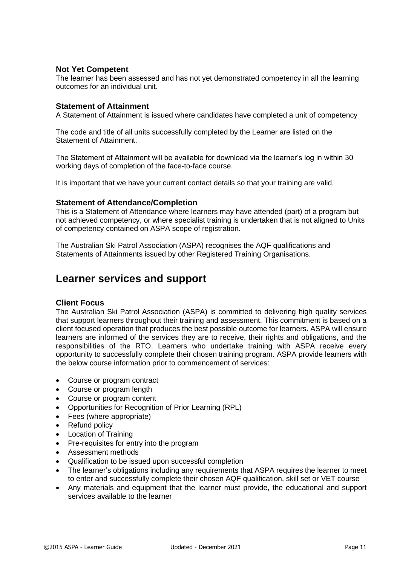#### <span id="page-10-0"></span>**Not Yet Competent**

The learner has been assessed and has not yet demonstrated competency in all the learning outcomes for an individual unit.

#### <span id="page-10-1"></span>**Statement of Attainment**

A Statement of Attainment is issued where candidates have completed a unit of competency

The code and title of all units successfully completed by the Learner are listed on the Statement of Attainment.

The Statement of Attainment will be available for download via the learner's log in within 30 working days of completion of the face-to-face course.

It is important that we have your current contact details so that your training are valid.

#### **Statement of Attendance/Completion**

This is a Statement of Attendance where learners may have attended (part) of a program but not achieved competency, or where specialist training is undertaken that is not aligned to Units of competency contained on ASPA scope of registration.

The Australian Ski Patrol Association (ASPA) recognises the AQF qualifications and Statements of Attainments issued by other Registered Training Organisations.

### **Learner services and support**

#### **Client Focus**

The Australian Ski Patrol Association (ASPA) is committed to delivering high quality services that support learners throughout their training and assessment. This commitment is based on a client focused operation that produces the best possible outcome for learners. ASPA will ensure learners are informed of the services they are to receive, their rights and obligations, and the responsibilities of the RTO. Learners who undertake training with ASPA receive every opportunity to successfully complete their chosen training program. ASPA provide learners with the below course information prior to commencement of services:

- Course or program contract
- Course or program length
- Course or program content
- Opportunities for Recognition of Prior Learning (RPL)
- Fees (where appropriate)
- **Refund policy**
- Location of Training
- Pre-requisites for entry into the program
- Assessment methods
- Qualification to be issued upon successful completion
- The learner's obligations including any requirements that ASPA requires the learner to meet to enter and successfully complete their chosen AQF qualification, skill set or VET course
- Any materials and equipment that the learner must provide, the educational and support services available to the learner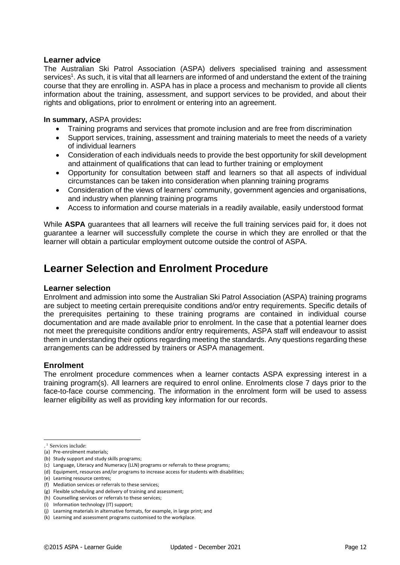#### **Learner advice**

The Australian Ski Patrol Association (ASPA) delivers specialised training and assessment services<sup>1</sup>. As such, it is vital that all learners are informed of and understand the extent of the training course that they are enrolling in. ASPA has in place a process and mechanism to provide all clients information about the training, assessment, and support services to be provided, and about their rights and obligations, prior to enrolment or entering into an agreement.

**In summary,** ASPA provides**:**

- Training programs and services that promote inclusion and are free from discrimination
- Support services, training, assessment and training materials to meet the needs of a variety of individual learners
- Consideration of each individuals needs to provide the best opportunity for skill development and attainment of qualifications that can lead to further training or employment
- Opportunity for consultation between staff and learners so that all aspects of individual circumstances can be taken into consideration when planning training programs
- Consideration of the views of learners' community, government agencies and organisations, and industry when planning training programs
- Access to information and course materials in a readily available, easily understood format

While **ASPA** guarantees that all learners will receive the full training services paid for, it does not guarantee a learner will successfully complete the course in which they are enrolled or that the learner will obtain a particular employment outcome outside the control of ASPA.

### **Learner Selection and Enrolment Procedure**

#### **Learner selection**

Enrolment and admission into some the Australian Ski Patrol Association (ASPA) training programs are subject to meeting certain prerequisite conditions and/or entry requirements. Specific details of the prerequisites pertaining to these training programs are contained in individual course documentation and are made available prior to enrolment. In the case that a potential learner does not meet the prerequisite conditions and/or entry requirements, ASPA staff will endeavour to assist them in understanding their options regarding meeting the standards. Any questions regarding these arrangements can be addressed by trainers or ASPA management.

#### **Enrolment**

The enrolment procedure commences when a learner contacts ASPA expressing interest in a training program(s). All learners are required to enrol online. Enrolments close 7 days prior to the face-to-face course commencing. The information in the enrolment form will be used to assess learner eligibility as well as providing key information for our records.

<sup>.</sup> <sup>1</sup> Services include:

<sup>(</sup>a) Pre-enrolment materials;

<sup>(</sup>b) Study support and study skills programs;

<sup>(</sup>c) Language, Literacy and Numeracy (LLN) programs or referrals to these programs;

<sup>(</sup>d) Equipment, resources and/or programs to increase access for students with disabilities;

<sup>(</sup>e) Learning resource centres;

<sup>(</sup>f) Mediation services or referrals to these services;

<sup>(</sup>g) Flexible scheduling and delivery of training and assessment;

<sup>(</sup>h) Counselling services or referrals to these services;

<sup>(</sup>i) Information technology (IT) support;

<sup>(</sup>j) Learning materials in alternative formats, for example, in large print; and

<sup>(</sup>k) Learning and assessment programs customised to the workplace.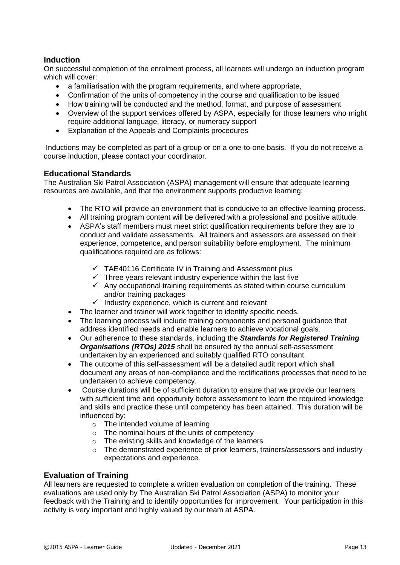#### <span id="page-12-0"></span>**Induction**

On successful completion of the enrolment process, all learners will undergo an induction program which will cover:

- a familiarisation with the program requirements, and where appropriate,
- Confirmation of the units of competency in the course and qualification to be issued
- How training will be conducted and the method, format, and purpose of assessment
- Overview of the support services offered by ASPA, especially for those learners who might require additional language, literacy, or numeracy support
- Explanation of the Appeals and Complaints procedures

Inductions may be completed as part of a group or on a one-to-one basis. If you do not receive a course induction, please contact your coordinator.

#### <span id="page-12-1"></span>**Educational Standards**

The Australian Ski Patrol Association (ASPA) management will ensure that adequate learning resources are available, and that the environment supports productive learning:

- The RTO will provide an environment that is conducive to an effective learning process.
- All training program content will be delivered with a professional and positive attitude.
- ASPA's staff members must meet strict qualification requirements before they are to conduct and validate assessments. All trainers and assessors are assessed on their experience, competence, and person suitability before employment. The minimum qualifications required are as follows:
	- ✓ TAE40116 Certificate IV in Training and Assessment plus
	- $\checkmark$  Three vears relevant industry experience within the last five
	- $\checkmark$  Any occupational training requirements as stated within course curriculum and/or training packages
	- $\checkmark$  Industry experience, which is current and relevant
- The learner and trainer will work together to identify specific needs.
- The learning process will include training components and personal guidance that address identified needs and enable learners to achieve vocational goals.
- Our adherence to these standards, including the *Standards for Registered Training Organisations (RTOs) 2015* shall be ensured by the annual self-assessment undertaken by an experienced and suitably qualified RTO consultant.
- The outcome of this self-assessment will be a detailed audit report which shall document any areas of non-compliance and the rectifications processes that need to be undertaken to achieve competency.
- Course durations will be of sufficient duration to ensure that we provide our learners with sufficient time and opportunity before assessment to learn the required knowledge and skills and practice these until competency has been attained. This duration will be influenced by:
	- o The intended volume of learning
	- o The nominal hours of the units of competency
	- o The existing skills and knowledge of the learners
	- $\circ$  The demonstrated experience of prior learners, trainers/assessors and industry expectations and experience.

#### <span id="page-12-2"></span>**Evaluation of Training**

All learners are requested to complete a written evaluation on completion of the training. These evaluations are used only by The Australian Ski Patrol Association (ASPA) to monitor your feedback with the Training and to identify opportunities for improvement. Your participation in this activity is very important and highly valued by our team at ASPA.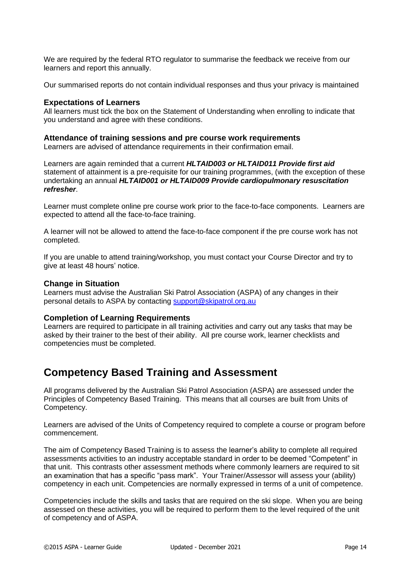We are required by the federal RTO regulator to summarise the feedback we receive from our learners and report this annually.

Our summarised reports do not contain individual responses and thus your privacy is maintained

#### <span id="page-13-0"></span>**Expectations of Learners**

All learners must tick the box on the Statement of Understanding when enrolling to indicate that you understand and agree with these conditions.

#### <span id="page-13-1"></span>**Attendance of training sessions and pre course work requirements**

Learners are advised of attendance requirements in their confirmation email.

Learners are again reminded that a current *HLTAID003 or HLTAID011 Provide first aid* statement of attainment is a pre-requisite for our training programmes, (with the exception of these undertaking an annual *HLTAID001 or HLTAID009 Provide cardiopulmonary resuscitation refresher*.

Learner must complete online pre course work prior to the face-to-face components. Learners are expected to attend all the face-to-face training.

A learner will not be allowed to attend the face-to-face component if the pre course work has not completed.

If you are unable to attend training/workshop, you must contact your Course Director and try to give at least 48 hours' notice.

#### <span id="page-13-2"></span>**Change in Situation**

Learners must advise the Australian Ski Patrol Association (ASPA) of any changes in their personal details to ASPA by contacting [support@skipatrol.org.au](mailto:support@skipatrol.org.au)

#### <span id="page-13-3"></span>**Completion of Learning Requirements**

Learners are required to participate in all training activities and carry out any tasks that may be asked by their trainer to the best of their ability. All pre course work, learner checklists and competencies must be completed.

### <span id="page-13-4"></span>**Competency Based Training and Assessment**

All programs delivered by the Australian Ski Patrol Association (ASPA) are assessed under the Principles of Competency Based Training. This means that all courses are built from Units of Competency.

Learners are advised of the Units of Competency required to complete a course or program before commencement.

The aim of Competency Based Training is to assess the learner's ability to complete all required assessments activities to an industry acceptable standard in order to be deemed "Competent" in that unit. This contrasts other assessment methods where commonly learners are required to sit an examination that has a specific "pass mark". Your Trainer/Assessor will assess your (ability) competency in each unit. Competencies are normally expressed in terms of a unit of competence.

Competencies include the skills and tasks that are required on the ski slope. When you are being assessed on these activities, you will be required to perform them to the level required of the unit of competency and of ASPA.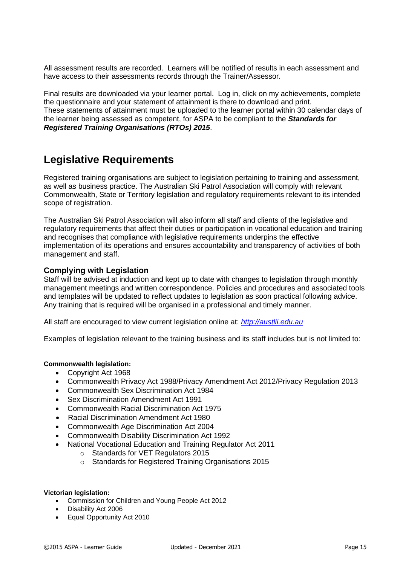All assessment results are recorded. Learners will be notified of results in each assessment and have access to their assessments records through the Trainer/Assessor.

Final results are downloaded via your learner portal. Log in, click on my achievements, complete the questionnaire and your statement of attainment is there to download and print. These statements of attainment must be uploaded to the learner portal within 30 calendar days of the learner being assessed as competent, for ASPA to be compliant to the *Standards for Registered Training Organisations (RTOs) 2015*.

### <span id="page-14-0"></span>**Legislative Requirements**

Registered training organisations are subject to legislation pertaining to training and assessment, as well as business practice. The Australian Ski Patrol Association will comply with relevant Commonwealth, State or Territory legislation and regulatory requirements relevant to its intended scope of registration.

The Australian Ski Patrol Association will also inform all staff and clients of the legislative and regulatory requirements that affect their duties or participation in vocational education and training and recognises that compliance with legislative requirements underpins the effective implementation of its operations and ensures accountability and transparency of activities of both management and staff.

#### <span id="page-14-1"></span>**Complying with Legislation**

Staff will be advised at induction and kept up to date with changes to legislation through monthly management meetings and written correspondence. Policies and procedures and associated tools and templates will be updated to reflect updates to legislation as soon practical following advice. Any training that is required will be organised in a professional and timely manner.

All staff are encouraged to view current legislation online at: *[http://austlii.edu.au](http://austlii.edu.au/)*

Examples of legislation relevant to the training business and its staff includes but is not limited to:

#### **Commonwealth legislation:**

- Copyright Act 1968
- Commonwealth Privacy Act 1988/Privacy Amendment Act 2012/Privacy Regulation 2013
- Commonwealth Sex Discrimination Act 1984
- Sex Discrimination Amendment Act 1991
- Commonwealth Racial Discrimination Act 1975
- Racial Discrimination Amendment Act 1980
- Commonwealth Age Discrimination Act 2004
- Commonwealth Disability Discrimination Act 1992
- National Vocational Education and Training Regulator Act 2011
	- o Standards for VET Regulators 2015
	- o Standards for Registered Training Organisations 2015

#### **Victorian legislation:**

- Commission for Children and Young People Act 2012
- Disability Act 2006
- Equal Opportunity Act 2010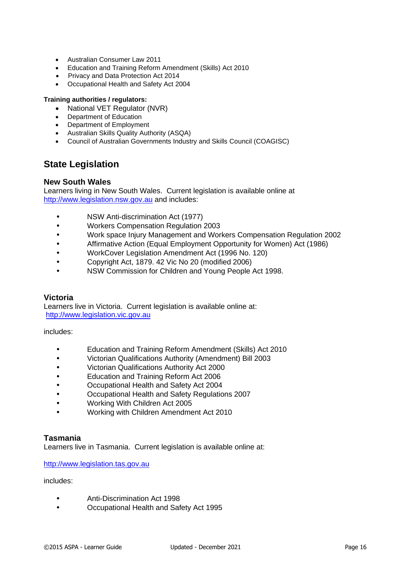- Australian Consumer Law 2011
- Education and Training Reform Amendment (Skills) Act 2010
- Privacy and Data Protection Act 2014
- Occupational Health and Safety Act 2004

#### **Training authorities / regulators:**

- National VET Regulator (NVR)
- Department of Education
- Department of Employment
- Australian Skills Quality Authority (ASQA)
- Council of Australian Governments Industry and Skills Council (COAGISC)

### <span id="page-15-0"></span>**State Legislation**

#### **New South Wales**

Learners living in New South Wales. Current legislation is available online at [http://www.legislation.nsw.gov.au](http://www.legislation.nsw.gov.au/) and includes:

- NSW Anti-discrimination Act (1977)
- Workers Compensation Regulation 2003
- Work space Injury Management and Workers Compensation Regulation 2002
- Affirmative Action (Equal Employment Opportunity for Women) Act (1986)
- WorkCover Legislation Amendment Act (1996 No. 120)
- Copyright Act, 1879. 42 Vic No 20 (modified 2006)
- NSW Commission for Children and Young People Act 1998.

#### **Victoria**

Learners live in Victoria. Current legislation is available online at: [http://www.legislation.vic.gov.au](http://www.legislation.vic.gov.au/)

includes:

- Education and Training Reform Amendment (Skills) Act 2010
- Victorian Qualifications Authority (Amendment) Bill 2003
- Victorian Qualifications Authority Act 2000
- Education and Training Reform Act 2006
- Occupational Health and Safety Act 2004
- Occupational Health and Safety Regulations 2007
- Working With Children Act 2005
- Working with Children Amendment Act 2010

#### **Tasmania**

Learners live in Tasmania. Current legislation is available online at:

[http://www.legislation.tas.gov.au](http://www.legislation.tas.gov.au/)

includes:

- Anti-Discrimination Act 1998
- Occupational Health and Safety Act 1995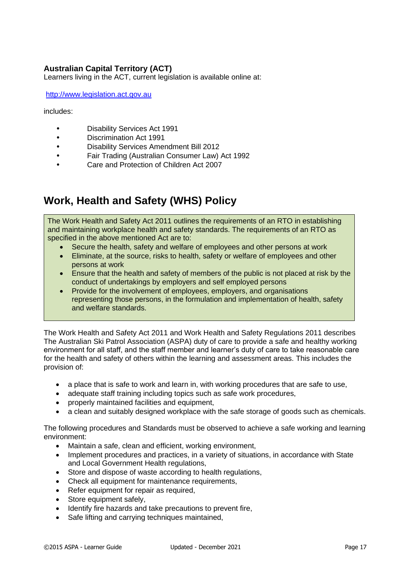#### **Australian Capital Territory (ACT)**

Learners living in the ACT, current legislation is available online at:

[http://www.legislation.act.gov.au](http://www.legislation.act.gov.au/)

includes:

- Disability Services Act 1991
- Discrimination Act 1991
- Disability Services Amendment Bill 2012
- Fair Trading (Australian Consumer Law) Act 1992
- Care and Protection of Children Act 2007

### <span id="page-16-0"></span>**Work, Health and Safety (WHS) Policy**

The Work Health and Safety Act 2011 outlines the requirements of an RTO in establishing and maintaining workplace health and safety standards. The requirements of an RTO as specified in the above mentioned Act are to:

- Secure the health, safety and welfare of employees and other persons at work
- Eliminate, at the source, risks to health, safety or welfare of employees and other persons at work
- Ensure that the health and safety of members of the public is not placed at risk by the conduct of undertakings by employers and self employed persons
- Provide for the involvement of employees, employers, and organisations representing those persons, in the formulation and implementation of health, safety and welfare standards.

The Work Health and Safety Act 2011 and Work Health and Safety Regulations 2011 describes The Australian Ski Patrol Association (ASPA) duty of care to provide a safe and healthy working environment for all staff, and the staff member and learner's duty of care to take reasonable care for the health and safety of others within the learning and assessment areas. This includes the provision of:

- a place that is safe to work and learn in, with working procedures that are safe to use,
- adequate staff training including topics such as safe work procedures,
- properly maintained facilities and equipment,
- a clean and suitably designed workplace with the safe storage of goods such as chemicals.

The following procedures and Standards must be observed to achieve a safe working and learning environment:

- Maintain a safe, clean and efficient, working environment,
- Implement procedures and practices, in a variety of situations, in accordance with State and Local Government Health regulations,
- Store and dispose of waste according to health regulations,
- Check all equipment for maintenance requirements,
- Refer equipment for repair as required,
- Store equipment safely,
- Identify fire hazards and take precautions to prevent fire,
- Safe lifting and carrying techniques maintained,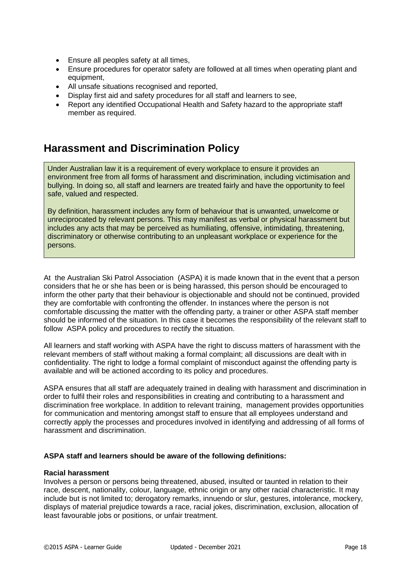- Ensure all peoples safety at all times,
- Ensure procedures for operator safety are followed at all times when operating plant and equipment,
- All unsafe situations recognised and reported,
- Display first aid and safety procedures for all staff and learners to see,
- Report any identified Occupational Health and Safety hazard to the appropriate staff member as required.

### <span id="page-17-0"></span>**Harassment and Discrimination Policy**

Under Australian law it is a requirement of every workplace to ensure it provides an environment free from all forms of harassment and discrimination, including victimisation and bullying. In doing so, all staff and learners are treated fairly and have the opportunity to feel safe, valued and respected.

By definition, harassment includes any form of behaviour that is unwanted, unwelcome or unreciprocated by relevant persons. This may manifest as verbal or physical harassment but includes any acts that may be perceived as humiliating, offensive, intimidating, threatening, discriminatory or otherwise contributing to an unpleasant workplace or experience for the persons.

At the Australian Ski Patrol Association (ASPA) it is made known that in the event that a person considers that he or she has been or is being harassed, this person should be encouraged to inform the other party that their behaviour is objectionable and should not be continued, provided they are comfortable with confronting the offender. In instances where the person is not comfortable discussing the matter with the offending party, a trainer or other ASPA staff member should be informed of the situation. In this case it becomes the responsibility of the relevant staff to follow ASPA policy and procedures to rectify the situation.

All learners and staff working with ASPA have the right to discuss matters of harassment with the relevant members of staff without making a formal complaint; all discussions are dealt with in confidentiality. The right to lodge a formal complaint of misconduct against the offending party is available and will be actioned according to its policy and procedures.

ASPA ensures that all staff are adequately trained in dealing with harassment and discrimination in order to fulfil their roles and responsibilities in creating and contributing to a harassment and discrimination free workplace. In addition to relevant training, management provides opportunities for communication and mentoring amongst staff to ensure that all employees understand and correctly apply the processes and procedures involved in identifying and addressing of all forms of harassment and discrimination.

#### **ASPA staff and learners should be aware of the following definitions:**

#### **Racial harassment**

Involves a person or persons being threatened, abused, insulted or taunted in relation to their race, descent, nationality, colour, language, ethnic origin or any other racial characteristic. It may include but is not limited to; derogatory remarks, innuendo or slur, gestures, intolerance, mockery, displays of material prejudice towards a race, racial jokes, discrimination, exclusion, allocation of least favourable jobs or positions, or unfair treatment.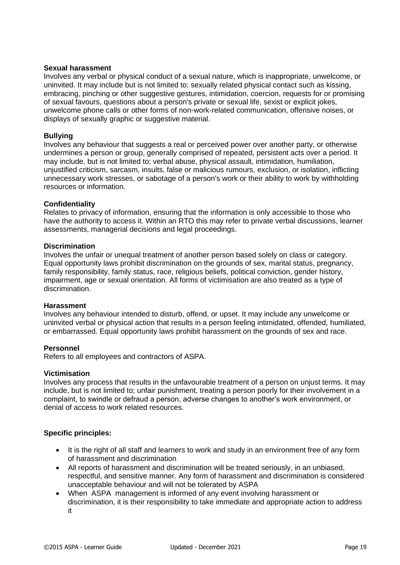#### **Sexual harassment**

Involves any verbal or physical conduct of a sexual nature, which is inappropriate, unwelcome, or uninvited. It may include but is not limited to; sexually related physical contact such as kissing, embracing, pinching or other suggestive gestures, intimidation, coercion, requests for or promising of sexual favours, questions about a person's private or sexual life, sexist or explicit jokes, unwelcome phone calls or other forms of non-work-related communication, offensive noises, or displays of sexually graphic or suggestive material.

#### **Bullying**

Involves any behaviour that suggests a real or perceived power over another party, or otherwise undermines a person or group, generally comprised of repeated, persistent acts over a period. It may include, but is not limited to; verbal abuse, physical assault, intimidation, humiliation, unjustified criticism, sarcasm, insults, false or malicious rumours, exclusion, or isolation, inflicting unnecessary work stresses, or sabotage of a person's work or their ability to work by withholding resources or information.

#### **Confidentiality**

Relates to privacy of information, ensuring that the information is only accessible to those who have the authority to access it. Within an RTO this may refer to private verbal discussions, learner assessments, managerial decisions and legal proceedings.

#### **Discrimination**

Involves the unfair or unequal treatment of another person based solely on class or category. Equal opportunity laws prohibit discrimination on the grounds of sex, marital status, pregnancy, family responsibility, family status, race, religious beliefs, political conviction, gender history, impairment, age or sexual orientation. All forms of victimisation are also treated as a type of discrimination.

#### **Harassment**

Involves any behaviour intended to disturb, offend, or upset. It may include any unwelcome or uninvited verbal or physical action that results in a person feeling intimidated, offended, humiliated, or embarrassed. Equal opportunity laws prohibit harassment on the grounds of sex and race.

#### **Personnel**

Refers to all employees and contractors of ASPA.

#### **Victimisation**

Involves any process that results in the unfavourable treatment of a person on unjust terms. It may include, but is not limited to; unfair punishment, treating a person poorly for their involvement in a complaint, to swindle or defraud a person, adverse changes to another's work environment, or denial of access to work related resources.

#### **Specific principles:**

- It is the right of all staff and learners to work and study in an environment free of any form of harassment and discrimination
- All reports of harassment and discrimination will be treated seriously, in an unbiased, respectful, and sensitive manner. Any form of harassment and discrimination is considered unacceptable behaviour and will not be tolerated by ASPA
- When ASPA management is informed of any event involving harassment or discrimination, it is their responsibility to take immediate and appropriate action to address it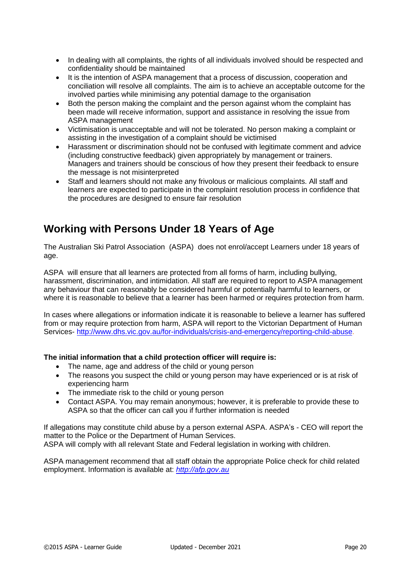- In dealing with all complaints, the rights of all individuals involved should be respected and confidentiality should be maintained
- It is the intention of ASPA management that a process of discussion, cooperation and conciliation will resolve all complaints. The aim is to achieve an acceptable outcome for the involved parties while minimising any potential damage to the organisation
- Both the person making the complaint and the person against whom the complaint has been made will receive information, support and assistance in resolving the issue from ASPA management
- Victimisation is unacceptable and will not be tolerated. No person making a complaint or assisting in the investigation of a complaint should be victimised
- Harassment or discrimination should not be confused with legitimate comment and advice (including constructive feedback) given appropriately by management or trainers. Managers and trainers should be conscious of how they present their feedback to ensure the message is not misinterpreted
- Staff and learners should not make any frivolous or malicious complaints. All staff and learners are expected to participate in the complaint resolution process in confidence that the procedures are designed to ensure fair resolution

### <span id="page-19-0"></span>**Working with Persons Under 18 Years of Age**

The Australian Ski Patrol Association (ASPA) does not enrol/accept Learners under 18 years of age.

ASPA will ensure that all learners are protected from all forms of harm, including bullying, harassment, discrimination, and intimidation. All staff are required to report to ASPA management any behaviour that can reasonably be considered harmful or potentially harmful to learners, or where it is reasonable to believe that a learner has been harmed or requires protection from harm.

In cases where allegations or information indicate it is reasonable to believe a learner has suffered from or may require protection from harm, ASPA will report to the Victorian Department of Human Services- [http://www.dhs.vic.gov.au/for-individuals/crisis-and-emergency/reporting-child-abuse.](http://www.dhs.vic.gov.au/for-individuals/crisis-and-emergency/reporting-child-abuse)

#### **The initial information that a child protection officer will require is:**

- The name, age and address of the child or young person
- The reasons you suspect the child or young person may have experienced or is at risk of experiencing harm
- The immediate risk to the child or young person
- Contact ASPA. You may remain anonymous; however, it is preferable to provide these to ASPA so that the officer can call you if further information is needed

If allegations may constitute child abuse by a person external ASPA. ASPA's - CEO will report the matter to the Police or the Department of Human Services.

ASPA will comply with all relevant State and Federal legislation in working with children.

<span id="page-19-1"></span>ASPA management recommend that all staff obtain the appropriate Police check for child related employment. Information is available at: *[http://afp.gov.au](file:///F:/www.afp.gov.au)*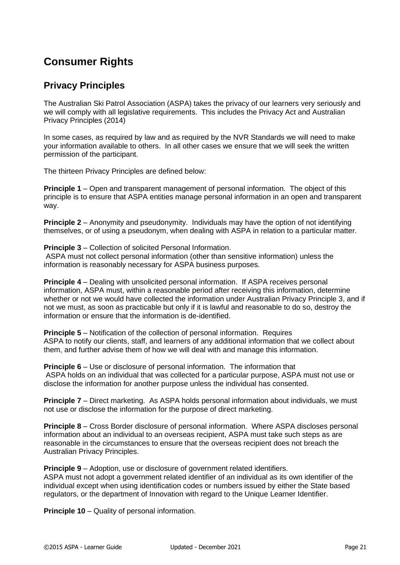### **Consumer Rights**

### <span id="page-20-0"></span>**Privacy Principles**

The Australian Ski Patrol Association (ASPA) takes the privacy of our learners very seriously and we will comply with all legislative requirements. This includes the Privacy Act and Australian Privacy Principles (2014)

In some cases, as required by law and as required by the NVR Standards we will need to make your information available to others. In all other cases we ensure that we will seek the written permission of the participant.

The thirteen Privacy Principles are defined below:

**Principle 1** – Open and transparent management of personal information. The object of this principle is to ensure that ASPA entities manage personal information in an open and transparent way.

**Principle 2** – Anonymity and pseudonymity. Individuals may have the option of not identifying themselves, or of using a pseudonym, when dealing with ASPA in relation to a particular matter.

**Principle 3** – Collection of solicited Personal Information. ASPA must not collect personal information (other than sensitive information) unless the information is reasonably necessary for ASPA business purposes.

**Principle 4** – Dealing with unsolicited personal information. If ASPA receives personal information, ASPA must, within a reasonable period after receiving this information, determine whether or not we would have collected the information under Australian Privacy Principle 3, and if not we must, as soon as practicable but only if it is lawful and reasonable to do so, destroy the information or ensure that the information is de-identified.

**Principle 5** – Notification of the collection of personal information. Requires ASPA to notify our clients, staff, and learners of any additional information that we collect about them, and further advise them of how we will deal with and manage this information.

**Principle 6** – Use or disclosure of personal information. The information that ASPA holds on an individual that was collected for a particular purpose, ASPA must not use or disclose the information for another purpose unless the individual has consented.

**Principle 7** – Direct marketing. As ASPA holds personal information about individuals, we must not use or disclose the information for the purpose of direct marketing.

**Principle 8** – Cross Border disclosure of personal information. Where ASPA discloses personal information about an individual to an overseas recipient, ASPA must take such steps as are reasonable in the circumstances to ensure that the overseas recipient does not breach the Australian Privacy Principles.

**Principle 9** – Adoption, use or disclosure of government related identifiers. ASPA must not adopt a government related identifier of an individual as its own identifier of the individual except when using identification codes or numbers issued by either the State based regulators, or the department of Innovation with regard to the Unique Learner Identifier.

**Principle 10** – Quality of personal information.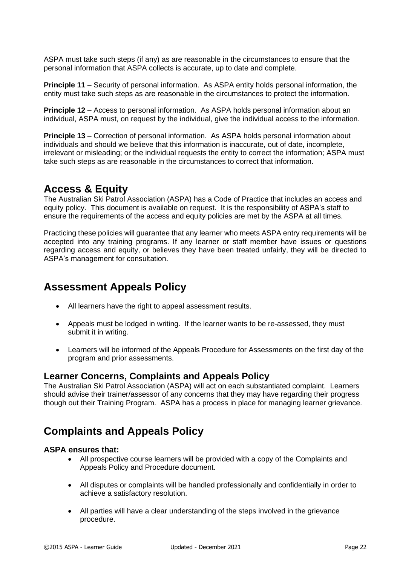ASPA must take such steps (if any) as are reasonable in the circumstances to ensure that the personal information that ASPA collects is accurate, up to date and complete.

**Principle 11** – Security of personal information. As ASPA entity holds personal information, the entity must take such steps as are reasonable in the circumstances to protect the information.

**Principle 12** – Access to personal information. As ASPA holds personal information about an individual, ASPA must, on request by the individual, give the individual access to the information.

**Principle 13** – Correction of personal information. As ASPA holds personal information about individuals and should we believe that this information is inaccurate, out of date, incomplete, irrelevant or misleading; or the individual requests the entity to correct the information; ASPA must take such steps as are reasonable in the circumstances to correct that information.

### <span id="page-21-0"></span>**Access & Equity**

The Australian Ski Patrol Association (ASPA) has a Code of Practice that includes an access and equity policy. This document is available on request. It is the responsibility of ASPA's staff to ensure the requirements of the access and equity policies are met by the ASPA at all times.

Practicing these policies will guarantee that any learner who meets ASPA entry requirements will be accepted into any training programs. If any learner or staff member have issues or questions regarding access and equity, or believes they have been treated unfairly, they will be directed to ASPA's management for consultation.

### <span id="page-21-1"></span>**Assessment Appeals Policy**

- All learners have the right to appeal assessment results.
- Appeals must be lodged in writing. If the learner wants to be re-assessed, they must submit it in writing.
- Learners will be informed of the Appeals Procedure for Assessments on the first day of the program and prior assessments.

#### <span id="page-21-2"></span>**Learner Concerns, Complaints and Appeals Policy**

The Australian Ski Patrol Association (ASPA) will act on each substantiated complaint. Learners should advise their trainer/assessor of any concerns that they may have regarding their progress though out their Training Program. ASPA has a process in place for managing learner grievance.

### <span id="page-21-3"></span>**Complaints and Appeals Policy**

#### **ASPA ensures that:**

- All prospective course learners will be provided with a copy of the Complaints and Appeals Policy and Procedure document.
- All disputes or complaints will be handled professionally and confidentially in order to achieve a satisfactory resolution.
- All parties will have a clear understanding of the steps involved in the grievance procedure.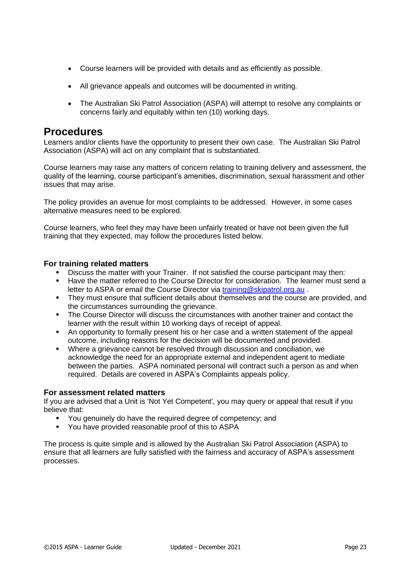- Course learners will be provided with details and as efficiently as possible.
- All grievance appeals and outcomes will be documented in writing.
- The Australian Ski Patrol Association (ASPA) will attempt to resolve any complaints or concerns fairly and equitably within ten (10) working days.

### <span id="page-22-0"></span>**Procedures**

Learners and/or clients have the opportunity to present their own case. The Australian Ski Patrol Association (ASPA) will act on any complaint that is substantiated.

Course learners may raise any matters of concern relating to training delivery and assessment, the quality of the learning, course participant's amenities, discrimination, sexual harassment and other issues that may arise.

The policy provides an avenue for most complaints to be addressed. However, in some cases alternative measures need to be explored.

Course learners, who feel they may have been unfairly treated or have not been given the full training that they expected, may follow the procedures listed below.

#### **For training related matters**

- **•** Discuss the matter with your Trainer. If not satisfied the course participant may then:
- Have the matter referred to the Course Director for consideration. The learner must send a letter to ASPA or email the Course Director via [training@skipatrol.org.au](mailto:training@skipatrol.org.au).
- They must ensure that sufficient details about themselves and the course are provided, and the circumstances surrounding the grievance.
- The Course Director will discuss the circumstances with another trainer and contact the learner with the result within 10 working days of receipt of appeal.
- An opportunity to formally present his or her case and a written statement of the appeal outcome, including reasons for the decision will be documented and provided.
- Where a grievance cannot be resolved through discussion and conciliation, we acknowledge the need for an appropriate external and independent agent to mediate between the parties. ASPA nominated personal will contract such a person as and when required. Details are covered in ASPA's Complaints appeals policy.

#### **For assessment related matters**

If you are advised that a Unit is 'Not Yet Competent', you may query or appeal that result if you believe that:

- You genuinely do have the required degree of competency; and
- You have provided reasonable proof of this to ASPA

The process is quite simple and is allowed by the Australian Ski Patrol Association (ASPA) to ensure that all learners are fully satisfied with the fairness and accuracy of ASPA's assessment processes.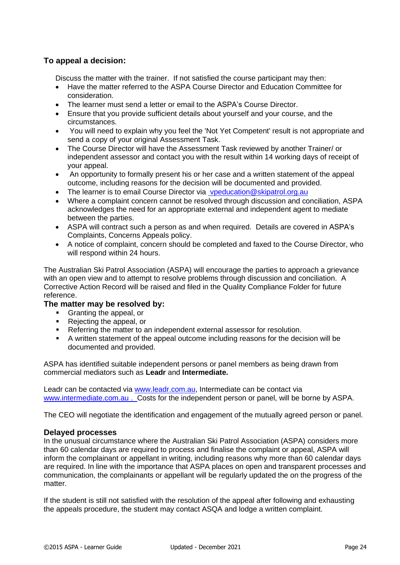#### **To appeal a decision:**

Discuss the matter with the trainer. If not satisfied the course participant may then:

- Have the matter referred to the ASPA Course Director and Education Committee for consideration.
- The learner must send a letter or email to the ASPA's Course Director.
- Ensure that you provide sufficient details about yourself and your course, and the circumstances.
- You will need to explain why you feel the 'Not Yet Competent' result is not appropriate and send a copy of your original Assessment Task.
- The Course Director will have the Assessment Task reviewed by another Trainer/ or independent assessor and contact you with the result within 14 working days of receipt of your appeal.
- An opportunity to formally present his or her case and a written statement of the appeal outcome, including reasons for the decision will be documented and provided.
- The learner is to email Course Director via vpeducation@skipatrol.org.au
- Where a complaint concern cannot be resolved through discussion and conciliation, ASPA acknowledges the need for an appropriate external and independent agent to mediate between the parties.
- ASPA will contract such a person as and when required. Details are covered in ASPA's Complaints, Concerns Appeals policy.
- A notice of complaint, concern should be completed and faxed to the Course Director, who will respond within 24 hours.

The Australian Ski Patrol Association (ASPA) will encourage the parties to approach a grievance with an open view and to attempt to resolve problems through discussion and conciliation. A Corrective Action Record will be raised and filed in the Quality Compliance Folder for future reference.

#### **The matter may be resolved by:**

- Granting the appeal, or
- Rejecting the appeal, or
- Referring the matter to an independent external assessor for resolution.
- A written statement of the appeal outcome including reasons for the decision will be documented and provided.

ASPA has identified suitable independent persons or panel members as being drawn from commercial mediators such as **Leadr** and **Intermediate.**

Leadr can be contacted via [www.leadr.com.au,](http://www.leadr.com.au/) Intermediate can be contact via [www.intermediate.com.au](http://www.intermediate.com.au/) . Costs for the independent person or panel, will be borne by ASPA.

The CEO will negotiate the identification and engagement of the mutually agreed person or panel.

#### **Delayed processes**

In the unusual circumstance where the Australian Ski Patrol Association (ASPA) considers more than 60 calendar days are required to process and finalise the complaint or appeal, ASPA will inform the complainant or appellant in writing, including reasons why more than 60 calendar days are required. In line with the importance that ASPA places on open and transparent processes and communication, the complainants or appellant will be regularly updated the on the progress of the matter.

If the student is still not satisfied with the resolution of the appeal after following and exhausting the appeals procedure, the student may contact ASQA and lodge a written complaint.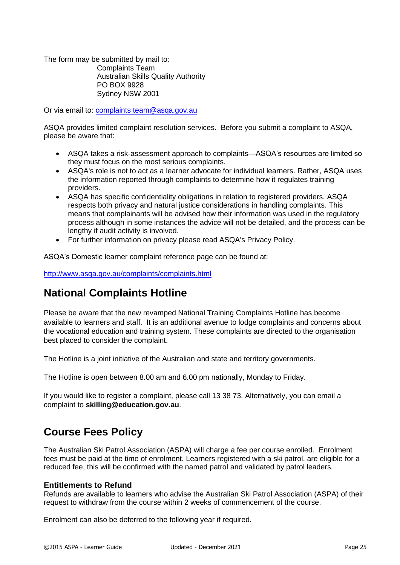The form may be submitted by mail to: Complaints Team Australian Skills Quality Authority PO BOX 9928 Sydney NSW 2001

Or via email to: [complaints team@asqa.gov.au](file:///C:/Data/Dropbox/Working%20Richard/Policies%20and%20Procedures%20for%20Sale/P&P%20Masters%20220312/ASQA%20P&P%20Initial%20Registration/complaints%20team@asqa.gov.au)

ASQA provides limited complaint resolution services. Before you submit a complaint to ASQA, please be aware that:

- ASQA takes a risk-assessment approach to complaints—ASQA's resources are limited so they must focus on the most serious complaints.
- ASQA's role is not to act as a learner advocate for individual learners. Rather, ASQA uses the information reported through complaints to determine how it regulates training providers.
- ASQA has specific confidentiality obligations in relation to registered providers. ASQA respects both privacy and natural justice considerations in handling complaints. This means that complainants will be advised how their information was used in the regulatory process although in some instances the advice will not be detailed, and the process can be lengthy if audit activity is involved.
- For further information on privacy please read ASQA's Privacy Policy.

ASQA's Domestic learner complaint reference page can be found at:

<http://www.asqa.gov.au/complaints/complaints.html>

### <span id="page-24-0"></span>**National Complaints Hotline**

Please be aware that the new revamped National Training Complaints Hotline has become available to learners and staff. It is an additional avenue to lodge complaints and concerns about the vocational education and training system. These complaints are directed to the organisation best placed to consider the complaint.

The Hotline is a joint initiative of the Australian and state and territory governments.

The Hotline is open between 8.00 am and 6.00 pm nationally, Monday to Friday.

If you would like to register a complaint, please call 13 38 73. Alternatively, you can email a complaint to **[skilling@education.gov.au](mailto:skilling@education.gov.au)**.

### <span id="page-24-1"></span>**Course Fees Policy**

The Australian Ski Patrol Association (ASPA) will charge a fee per course enrolled. Enrolment fees must be paid at the time of enrolment. Learners registered with a ski patrol, are eligible for a reduced fee, this will be confirmed with the named patrol and validated by patrol leaders.

#### <span id="page-24-2"></span>**Entitlements to Refund**

Refunds are available to learners who advise the Australian Ski Patrol Association (ASPA) of their request to withdraw from the course within 2 weeks of commencement of the course.

Enrolment can also be deferred to the following year if required.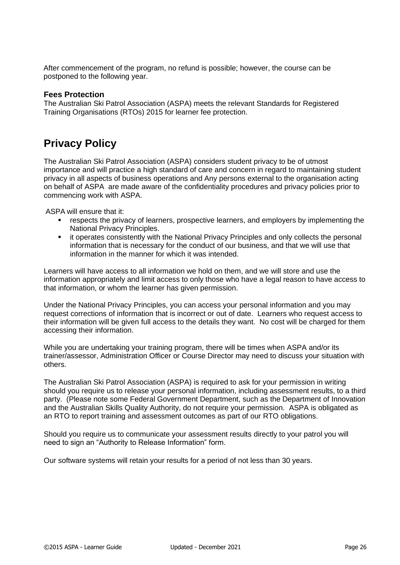After commencement of the program, no refund is possible; however, the course can be postponed to the following year.

#### <span id="page-25-0"></span>**Fees Protection**

The Australian Ski Patrol Association (ASPA) meets the relevant Standards for Registered Training Organisations (RTOs) 2015 for learner fee protection.

### <span id="page-25-1"></span>**Privacy Policy**

The Australian Ski Patrol Association (ASPA) considers student privacy to be of utmost importance and will practice a high standard of care and concern in regard to maintaining student privacy in all aspects of business operations and Any persons external to the organisation acting on behalf of ASPA are made aware of the confidentiality procedures and privacy policies prior to commencing work with ASPA.

ASPA will ensure that it:

- respects the privacy of learners, prospective learners, and employers by implementing the National Privacy Principles.
- it operates consistently with the National Privacy Principles and only collects the personal information that is necessary for the conduct of our business, and that we will use that information in the manner for which it was intended.

Learners will have access to all information we hold on them, and we will store and use the information appropriately and limit access to only those who have a legal reason to have access to that information, or whom the learner has given permission.

Under the National Privacy Principles, you can access your personal information and you may request corrections of information that is incorrect or out of date. Learners who request access to their information will be given full access to the details they want. No cost will be charged for them accessing their information.

While you are undertaking your training program, there will be times when ASPA and/or its trainer/assessor, Administration Officer or Course Director may need to discuss your situation with others.

The Australian Ski Patrol Association (ASPA) is required to ask for your permission in writing should you require us to release your personal information, including assessment results, to a third party. (Please note some Federal Government Department, such as the Department of Innovation and the Australian Skills Quality Authority, do not require your permission. ASPA is obligated as an RTO to report training and assessment outcomes as part of our RTO obligations.

Should you require us to communicate your assessment results directly to your patrol you will need to sign an "Authority to Release Information" form.

<span id="page-25-2"></span>Our software systems will retain your results for a period of not less than 30 years.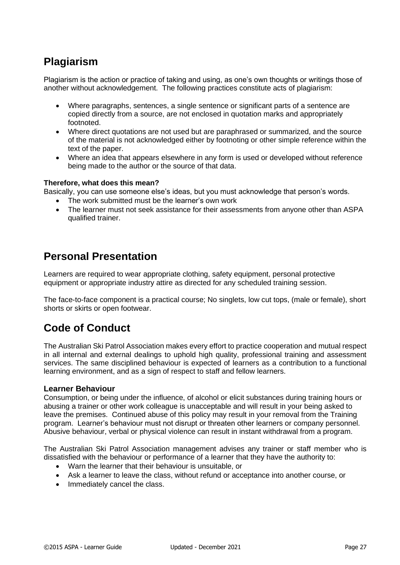### **Plagiarism**

Plagiarism is the action or practice of taking and using, as one's own thoughts or writings those of another without acknowledgement. The following practices constitute acts of plagiarism:

- Where paragraphs, sentences, a single sentence or significant parts of a sentence are copied directly from a source, are not enclosed in quotation marks and appropriately footnoted.
- Where direct quotations are not used but are paraphrased or summarized, and the source of the material is not acknowledged either by footnoting or other simple reference within the text of the paper.
- Where an idea that appears elsewhere in any form is used or developed without reference being made to the author or the source of that data.

#### **Therefore, what does this mean?**

Basically, you can use someone else's ideas, but you must acknowledge that person's words.

- The work submitted must be the learner's own work
- The learner must not seek assistance for their assessments from anyone other than ASPA qualified trainer.

### <span id="page-26-0"></span>**Personal Presentation**

Learners are required to wear appropriate clothing, safety equipment, personal protective equipment or appropriate industry attire as directed for any scheduled training session.

The face-to-face component is a practical course; No singlets, low cut tops, (male or female), short shorts or skirts or open footwear.

### <span id="page-26-1"></span>**Code of Conduct**

The Australian Ski Patrol Association makes every effort to practice cooperation and mutual respect in all internal and external dealings to uphold high quality, professional training and assessment services. The same disciplined behaviour is expected of learners as a contribution to a functional learning environment, and as a sign of respect to staff and fellow learners.

#### <span id="page-26-2"></span>**Learner Behaviour**

Consumption, or being under the influence, of alcohol or elicit substances during training hours or abusing a trainer or other work colleague is unacceptable and will result in your being asked to leave the premises. Continued abuse of this policy may result in your removal from the Training program. Learner's behaviour must not disrupt or threaten other learners or company personnel. Abusive behaviour, verbal or physical violence can result in instant withdrawal from a program.

The Australian Ski Patrol Association management advises any trainer or staff member who is dissatisfied with the behaviour or performance of a learner that they have the authority to:

- Warn the learner that their behaviour is unsuitable, or
- Ask a learner to leave the class, without refund or acceptance into another course, or
- Immediately cancel the class.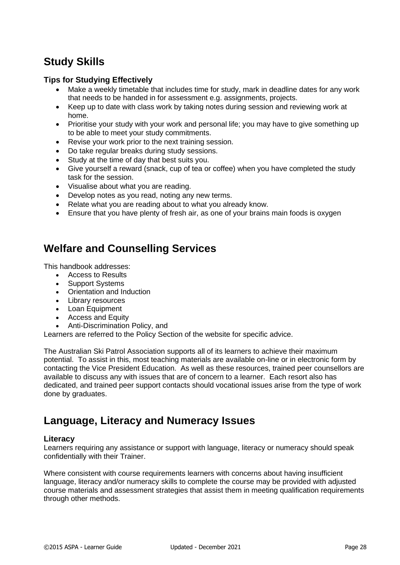### <span id="page-27-0"></span>**Study Skills**

#### **Tips for Studying Effectively**

- Make a weekly timetable that includes time for study, mark in deadline dates for any work that needs to be handed in for assessment e.g. assignments, projects.
- Keep up to date with class work by taking notes during session and reviewing work at home.
- Prioritise your study with your work and personal life; you may have to give something up to be able to meet your study commitments.
- Revise your work prior to the next training session.
- Do take regular breaks during study sessions.
- Study at the time of day that best suits you.
- Give yourself a reward (snack, cup of tea or coffee) when you have completed the study task for the session.
- Visualise about what you are reading.
- Develop notes as you read, noting any new terms.
- Relate what you are reading about to what you already know.
- Ensure that you have plenty of fresh air, as one of your brains main foods is oxygen

### <span id="page-27-1"></span>**Welfare and Counselling Services**

This handbook addresses:

- Access to Results
- Support Systems
- Orientation and Induction
- Library resources
- Loan Equipment
- Access and Equity
- Anti-Discrimination Policy, and

Learners are referred to the Policy Section of the website for specific advice.

The Australian Ski Patrol Association supports all of its learners to achieve their maximum potential. To assist in this, most teaching materials are available on-line or in electronic form by contacting the Vice President Education. As well as these resources, trained peer counsellors are available to discuss any with issues that are of concern to a learner. Each resort also has dedicated, and trained peer support contacts should vocational issues arise from the type of work done by graduates.

### <span id="page-27-2"></span>**Language, Literacy and Numeracy Issues**

#### **Literacy**

Learners requiring any assistance or support with language, literacy or numeracy should speak confidentially with their Trainer.

Where consistent with course requirements learners with concerns about having insufficient language, literacy and/or numeracy skills to complete the course may be provided with adjusted course materials and assessment strategies that assist them in meeting qualification requirements through other methods.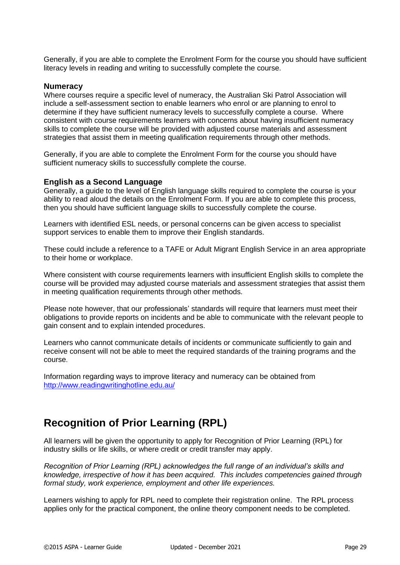Generally, if you are able to complete the Enrolment Form for the course you should have sufficient literacy levels in reading and writing to successfully complete the course.

#### **Numeracy**

Where courses require a specific level of numeracy, the Australian Ski Patrol Association will include a self-assessment section to enable learners who enrol or are planning to enrol to determine if they have sufficient numeracy levels to successfully complete a course. Where consistent with course requirements learners with concerns about having insufficient numeracy skills to complete the course will be provided with adjusted course materials and assessment strategies that assist them in meeting qualification requirements through other methods.

Generally, if you are able to complete the Enrolment Form for the course you should have sufficient numeracy skills to successfully complete the course.

#### <span id="page-28-0"></span>**English as a Second Language**

Generally, a guide to the level of English language skills required to complete the course is your ability to read aloud the details on the Enrolment Form. If you are able to complete this process, then you should have sufficient language skills to successfully complete the course.

Learners with identified ESL needs, or personal concerns can be given access to specialist support services to enable them to improve their English standards.

These could include a reference to a TAFE or Adult Migrant English Service in an area appropriate to their home or workplace.

Where consistent with course requirements learners with insufficient English skills to complete the course will be provided may adjusted course materials and assessment strategies that assist them in meeting qualification requirements through other methods.

Please note however, that our professionals' standards will require that learners must meet their obligations to provide reports on incidents and be able to communicate with the relevant people to gain consent and to explain intended procedures.

Learners who cannot communicate details of incidents or communicate sufficiently to gain and receive consent will not be able to meet the required standards of the training programs and the course.

Information regarding ways to improve literacy and numeracy can be obtained from <http://www.readingwritinghotline.edu.au/>

### <span id="page-28-1"></span>**Recognition of Prior Learning (RPL)**

All learners will be given the opportunity to apply for Recognition of Prior Learning (RPL) for industry skills or life skills, or where credit or credit transfer may apply.

*Recognition of Prior Learning (RPL) acknowledges the full range of an individual's skills and knowledge, irrespective of how it has been acquired. This includes competencies gained through formal study, work experience, employment and other life experiences.*

Learners wishing to apply for RPL need to complete their registration online. The RPL process applies only for the practical component, the online theory component needs to be completed.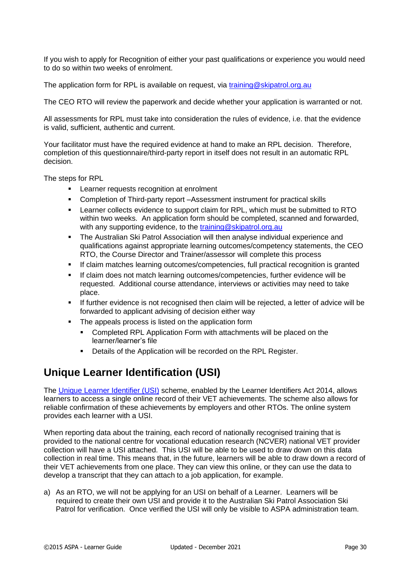If you wish to apply for Recognition of either your past qualifications or experience you would need to do so within two weeks of enrolment.

The application form for RPL is available on request, via [training@skipatrol.org.au](mailto:training@skipatrol.org.au)

The CEO RTO will review the paperwork and decide whether your application is warranted or not.

All assessments for RPL must take into consideration the rules of evidence, i.e. that the evidence is valid, sufficient, authentic and current.

Your facilitator must have the required evidence at hand to make an RPL decision. Therefore, completion of this questionnaire/third-party report in itself does not result in an automatic RPL decision.

The steps for RPL

- **EXEC** Learner requests recognition at enrolment
- Completion of Third-party report –Assessment instrument for practical skills
- Learner collects evidence to support claim for RPL, which must be submitted to RTO within two weeks. An application form should be completed, scanned and forwarded, with any supporting evidence, to the [training@skipatrol.org.au](mailto:training@skipatrol.org.au)
- **The Australian Ski Patrol Association will then analyse individual experience and** qualifications against appropriate learning outcomes/competency statements, the CEO RTO, the Course Director and Trainer/assessor will complete this process
- If claim matches learning outcomes/competencies, full practical recognition is granted
- If claim does not match learning outcomes/competencies, further evidence will be requested. Additional course attendance, interviews or activities may need to take place.
- If further evidence is not recognised then claim will be rejected, a letter of advice will be forwarded to applicant advising of decision either way
- The appeals process is listed on the application form
	- Completed RPL Application Form with attachments will be placed on the learner/learner's file
	- Details of the Application will be recorded on the RPL Register.

### <span id="page-29-0"></span>**Unique Learner Identification (USI)**

The [Unique Learner](http://usi.gov.au/Pages/default.aspx) Identifier (USI) scheme, enabled by the Learner [Identifiers Act 2014,](http://www.comlaw.gov.au/Series/C2014A00036) allows learners to access a single online record of their VET achievements. The scheme also allows for reliable confirmation of these achievements by employers and other RTOs. The online system provides each learner with a USI.

When reporting data about the training, each record of nationally recognised training that is provided to the national centre for vocational education research (NCVER) national VET provider collection will have a USI attached. This USI will be able to be used to draw down on this data collection in real time. This means that, in the future, learners will be able to draw down a record of their VET achievements from one place. They can view this online, or they can use the data to develop a transcript that they can attach to a job application, for example.

a) As an RTO, we will not be applying for an USI on behalf of a Learner. Learners will be required to create their own USI and provide it to the Australian Ski Patrol Association Ski Patrol for verification. Once verified the USI will only be visible to ASPA administration team.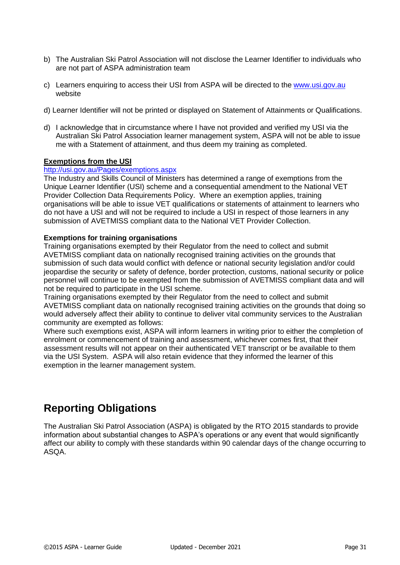- b) The Australian Ski Patrol Association will not disclose the Learner Identifier to individuals who are not part of ASPA administration team
- c) Learners enquiring to access their USI from ASPA will be directed to the www[.usi.gov.au](http://usi.gov.au/) website
- d) Learner Identifier will not be printed or displayed on Statement of Attainments or Qualifications.
- d) I acknowledge that in circumstance where I have not provided and verified my USI via the Australian Ski Patrol Association learner management system, ASPA will not be able to issue me with a Statement of attainment, and thus deem my training as completed.

#### **Exemptions from the USI**

#### <http://usi.gov.au/Pages/exemptions.aspx>

The Industry and Skills Council of Ministers has determined a range of exemptions from the Unique Learner Identifier (USI) scheme and a consequential amendment to the National VET Provider Collection Data Requirements Policy. Where an exemption applies, training organisations will be able to issue VET qualifications or statements of attainment to learners who do not have a USI and will not be required to include a USI in respect of those learners in any submission of AVETMISS compliant data to the National VET Provider Collection.

#### **Exemptions for training organisations**

Training organisations exempted by their Regulator from the need to collect and submit AVETMISS compliant data on nationally recognised training activities on the grounds that submission of such data would conflict with defence or national security legislation and/or could jeopardise the security or safety of defence, border protection, customs, national security or police personnel will continue to be exempted from the submission of AVETMISS compliant data and will not be required to participate in the USI scheme.

Training organisations exempted by their Regulator from the need to collect and submit AVETMISS compliant data on nationally recognised training activities on the grounds that doing so would adversely affect their ability to continue to deliver vital community services to the Australian community are exempted as follows:

Where such exemptions exist, ASPA will inform learners in writing prior to either the completion of enrolment or commencement of training and assessment, whichever comes first, that their assessment results will not appear on their authenticated VET transcript or be available to them via the USI System. ASPA will also retain evidence that they informed the learner of this exemption in the learner management system.

### <span id="page-30-0"></span>**Reporting Obligations**

The Australian Ski Patrol Association (ASPA) is obligated by the RTO 2015 standards to provide information about substantial changes to ASPA's operations or any event that would significantly affect our ability to comply with these standards within 90 calendar days of the change occurring to ASQA.